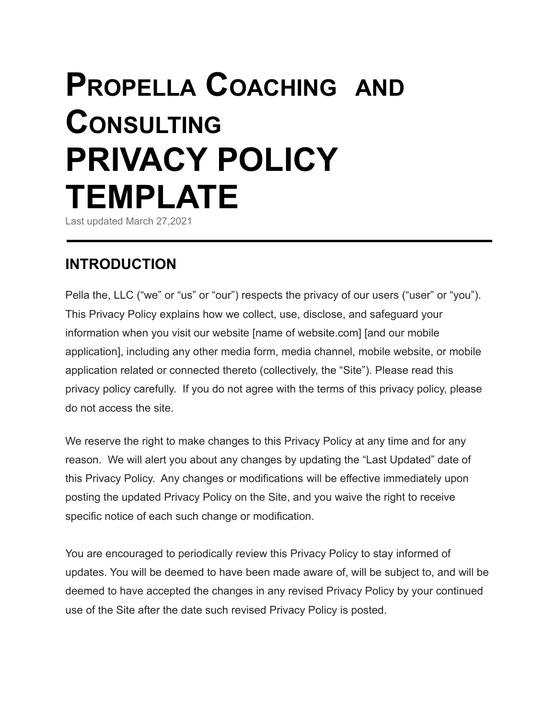# **PROPELLA COACHING AND CONSULTING PRIVACY POLICY TEMPLATE**

Last updated March 27,2021

# **INTRODUCTION**

Pella the, LLC ("we" or "us" or "our") respects the privacy of our users ("user" or "you"). This Privacy Policy explains how we collect, use, disclose, and safeguard your information when you visit our website [name of website.com] [and our mobile application], including any other media form, media channel, mobile website, or mobile application related or connected thereto (collectively, the "Site"). Please read this privacy policy carefully. If you do not agree with the terms of this privacy policy, please do not access the site.

We reserve the right to make changes to this Privacy Policy at any time and for any reason. We will alert you about any changes by updating the "Last Updated" date of this Privacy Policy. Any changes or modifications will be effective immediately upon posting the updated Privacy Policy on the Site, and you waive the right to receive specific notice of each such change or modification.

You are encouraged to periodically review this Privacy Policy to stay informed of updates. You will be deemed to have been made aware of, will be subject to, and will be deemed to have accepted the changes in any revised Privacy Policy by your continued use of the Site after the date such revised Privacy Policy is posted.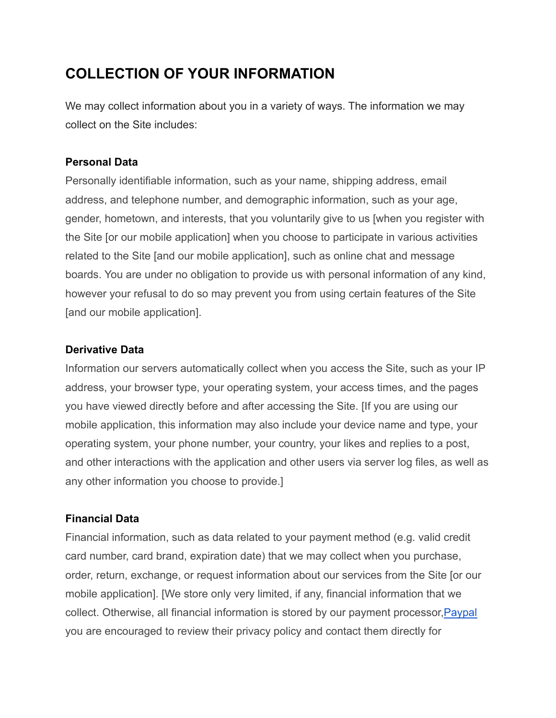# **COLLECTION OF YOUR INFORMATION**

We may collect information about you in a variety of ways. The information we may collect on the Site includes:

## **Personal Data**

Personally identifiable information, such as your name, shipping address, email address, and telephone number, and demographic information, such as your age, gender, hometown, and interests, that you voluntarily give to us [when you register with the Site [or our mobile application] when you choose to participate in various activities related to the Site [and our mobile application], such as online chat and message boards. You are under no obligation to provide us with personal information of any kind, however your refusal to do so may prevent you from using certain features of the Site [and our mobile application].

#### **Derivative Data**

Information our servers automatically collect when you access the Site, such as your IP address, your browser type, your operating system, your access times, and the pages you have viewed directly before and after accessing the Site. [If you are using our mobile application, this information may also include your device name and type, your operating system, your phone number, your country, your likes and replies to a post, and other interactions with the application and other users via server log files, as well as any other information you choose to provide.]

## **Financial Data**

Financial information, such as data related to your payment method (e.g. valid credit card number, card brand, expiration date) that we may collect when you purchase, order, return, exchange, or request information about our services from the Site [or our mobile application]. [We store only very limited, if any, financial information that we collect. Otherwise, all financial information is stored by our payment processor,Paypal you are encouraged to review their privacy policy and contact them directly for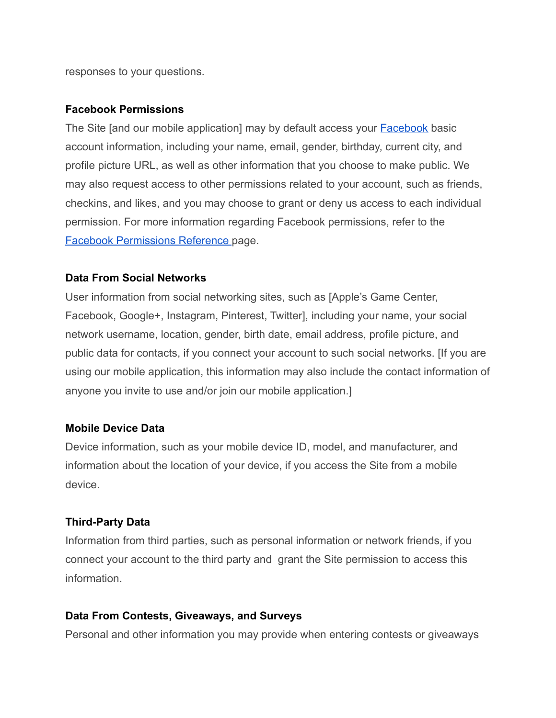responses to your questions.

#### **Facebook Permissions**

The Site [and our mobile application] may by default access your [Facebook](https://www.facebook.com/about/privacy/) basic account information, including your name, email, gender, birthday, current city, and profile picture URL, as well as other information that you choose to make public. We may also request access to other permissions related to your account, such as friends, checkins, and likes, and you may choose to grant or deny us access to each individual permission. For more information regarding Facebook permissions, refer to the [Facebook Permissions Reference](https://developers.facebook.com/docs/facebook-login/permissions) page.

#### **Data From Social Networks**

User information from social networking sites, such as [Apple's Game Center, Facebook, Google+, Instagram, Pinterest, Twitter], including your name, your social network username, location, gender, birth date, email address, profile picture, and public data for contacts, if you connect your account to such social networks. [If you are using our mobile application, this information may also include the contact information of anyone you invite to use and/or join our mobile application.]

#### **Mobile Device Data**

Device information, such as your mobile device ID, model, and manufacturer, and information about the location of your device, if you access the Site from a mobile device.

#### **Third-Party Data**

Information from third parties, such as personal information or network friends, if you connect your account to the third party and grant the Site permission to access this information.

#### **Data From Contests, Giveaways, and Surveys**

Personal and other information you may provide when entering contests or giveaways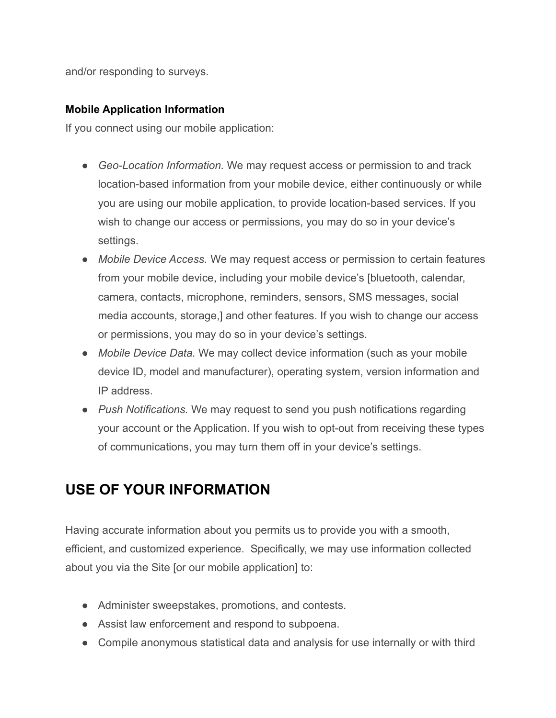and/or responding to surveys.

## **Mobile Application Information**

If you connect using our mobile application:

- *Geo-Location Information.* We may request access or permission to and track location-based information from your mobile device, either continuously or while you are using our mobile application, to provide location-based services. If you wish to change our access or permissions, you may do so in your device's settings.
- **●** *Mobile Device Access.* We may request access or permission to certain features from your mobile device, including your mobile device's [bluetooth, calendar, camera, contacts, microphone, reminders, sensors, SMS messages, social media accounts, storage,] and other features. If you wish to change our access or permissions, you may do so in your device's settings.
- *Mobile Device Data.* We may collect device information (such as your mobile device ID, model and manufacturer), operating system, version information and IP address.
- *Push Notifications.* We may request to send you push notifications regarding your account or the Application. If you wish to opt-out from receiving these types of communications, you may turn them off in your device's settings.

# **USE OF YOUR INFORMATION**

Having accurate information about you permits us to provide you with a smooth, efficient, and customized experience. Specifically, we may use information collected about you via the Site [or our mobile application] to:

- Administer sweepstakes, promotions, and contests.
- Assist law enforcement and respond to subpoena.
- Compile anonymous statistical data and analysis for use internally or with third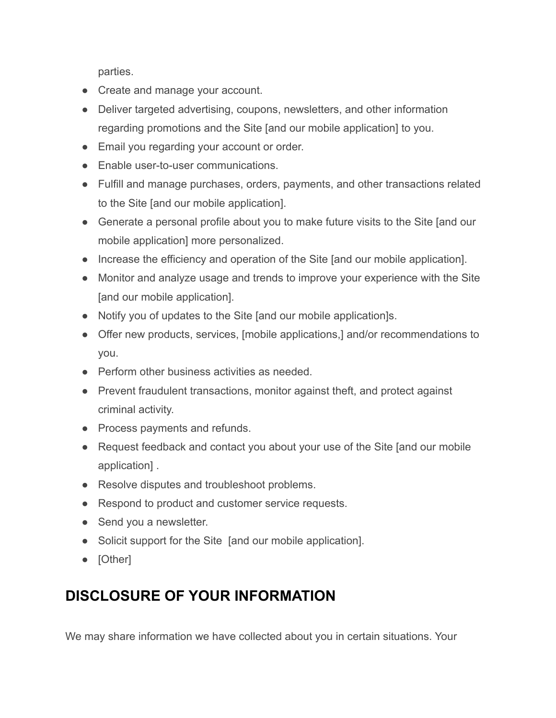parties.

- Create and manage your account.
- Deliver targeted advertising, coupons, newsletters, and other information regarding promotions and the Site [and our mobile application] to you.
- Email you regarding your account or order.
- Enable user-to-user communications.
- Fulfill and manage purchases, orders, payments, and other transactions related to the Site [and our mobile application].
- Generate a personal profile about you to make future visits to the Site [and our mobile application] more personalized.
- Increase the efficiency and operation of the Site [and our mobile application].
- Monitor and analyze usage and trends to improve your experience with the Site [and our mobile application].
- Notify you of updates to the Site [and our mobile application]s.
- Offer new products, services, [mobile applications,] and/or recommendations to you.
- Perform other business activities as needed.
- Prevent fraudulent transactions, monitor against theft, and protect against criminal activity.
- Process payments and refunds.
- Request feedback and contact you about your use of the Site [and our mobile application] .
- Resolve disputes and troubleshoot problems.
- Respond to product and customer service requests.
- Send you a newsletter.
- Solicit support for the Site [and our mobile application].
- [Other]

# **DISCLOSURE OF YOUR INFORMATION**

We may share information we have collected about you in certain situations. Your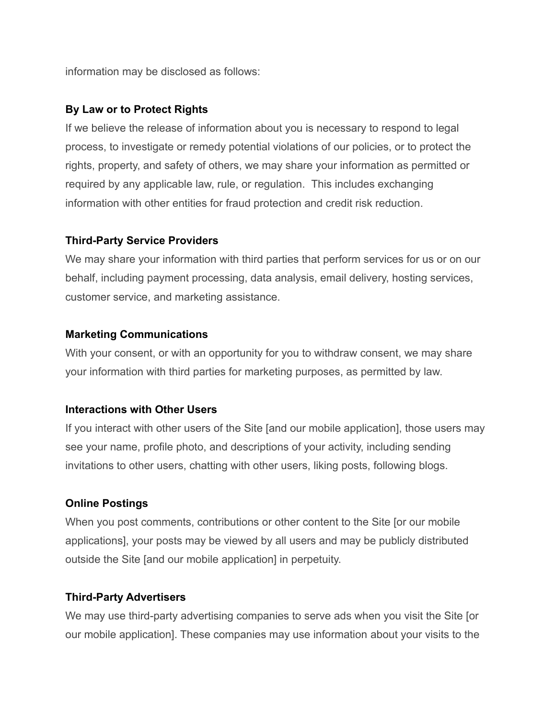information may be disclosed as follows:

#### **By Law or to Protect Rights**

If we believe the release of information about you is necessary to respond to legal process, to investigate or remedy potential violations of our policies, or to protect the rights, property, and safety of others, we may share your information as permitted or required by any applicable law, rule, or regulation. This includes exchanging information with other entities for fraud protection and credit risk reduction.

#### **Third-Party Service Providers**

We may share your information with third parties that perform services for us or on our behalf, including payment processing, data analysis, email delivery, hosting services, customer service, and marketing assistance.

#### **Marketing Communications**

With your consent, or with an opportunity for you to withdraw consent, we may share your information with third parties for marketing purposes, as permitted by law.

## **Interactions with Other Users**

If you interact with other users of the Site [and our mobile application], those users may see your name, profile photo, and descriptions of your activity, including sending invitations to other users, chatting with other users, liking posts, following blogs.

## **Online Postings**

When you post comments, contributions or other content to the Site [or our mobile applications], your posts may be viewed by all users and may be publicly distributed outside the Site [and our mobile application] in perpetuity.

## **Third-Party Advertisers**

We may use third-party advertising companies to serve ads when you visit the Site [or our mobile application]. These companies may use information about your visits to the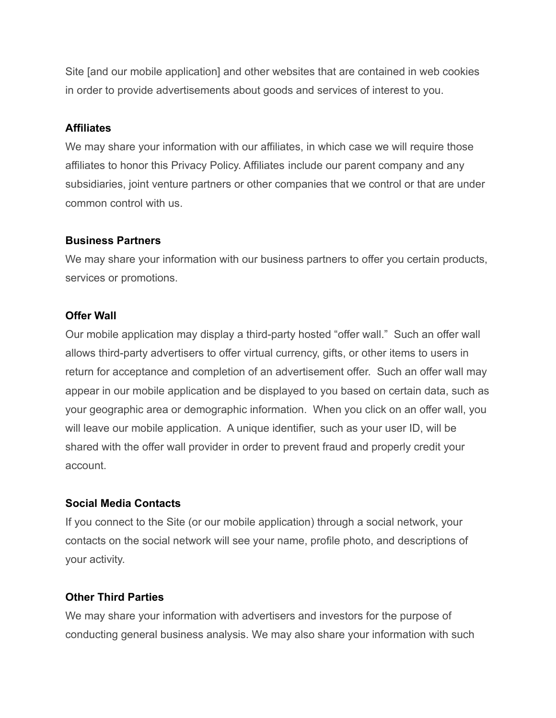Site [and our mobile application] and other websites that are contained in web cookies in order to provide advertisements about goods and services of interest to you.

#### **Affiliates**

We may share your information with our affiliates, in which case we will require those affiliates to honor this Privacy Policy. Affiliates include our parent company and any subsidiaries, joint venture partners or other companies that we control or that are under common control with us.

#### **Business Partners**

We may share your information with our business partners to offer you certain products, services or promotions.

## **Offer Wall**

Our mobile application may display a third-party hosted "offer wall." Such an offer wall allows third-party advertisers to offer virtual currency, gifts, or other items to users in return for acceptance and completion of an advertisement offer. Such an offer wall may appear in our mobile application and be displayed to you based on certain data, such as your geographic area or demographic information. When you click on an offer wall, you will leave our mobile application. A unique identifier, such as your user ID, will be shared with the offer wall provider in order to prevent fraud and properly credit your account.

## **Social Media Contacts**

If you connect to the Site (or our mobile application) through a social network, your contacts on the social network will see your name, profile photo, and descriptions of your activity.

# **Other Third Parties**

We may share your information with advertisers and investors for the purpose of conducting general business analysis. We may also share your information with such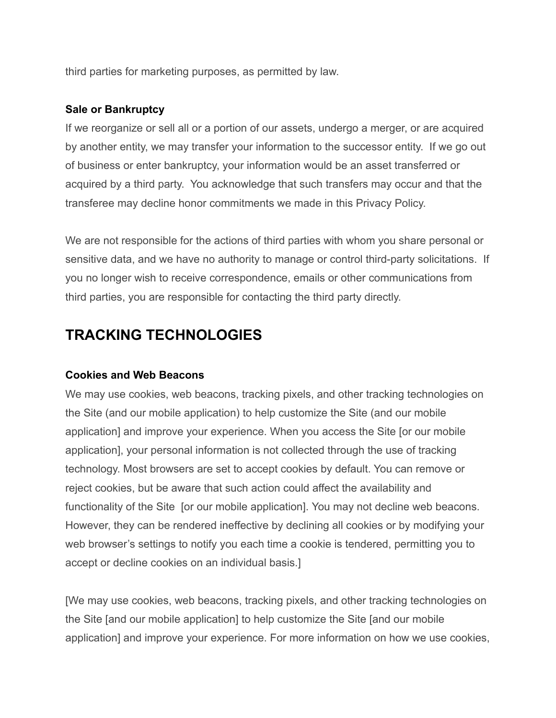third parties for marketing purposes, as permitted by law.

## **Sale or Bankruptcy**

If we reorganize or sell all or a portion of our assets, undergo a merger, or are acquired by another entity, we may transfer your information to the successor entity. If we go out of business or enter bankruptcy, your information would be an asset transferred or acquired by a third party. You acknowledge that such transfers may occur and that the transferee may decline honor commitments we made in this Privacy Policy.

We are not responsible for the actions of third parties with whom you share personal or sensitive data, and we have no authority to manage or control third-party solicitations. If you no longer wish to receive correspondence, emails or other communications from third parties, you are responsible for contacting the third party directly.

# **TRACKING TECHNOLOGIES**

## **Cookies and Web Beacons**

We may use cookies, web beacons, tracking pixels, and other tracking technologies on the Site (and our mobile application) to help customize the Site (and our mobile application] and improve your experience. When you access the Site [or our mobile application], your personal information is not collected through the use of tracking technology. Most browsers are set to accept cookies by default. You can remove or reject cookies, but be aware that such action could affect the availability and functionality of the Site [or our mobile application]. You may not decline web beacons. However, they can be rendered ineffective by declining all cookies or by modifying your web browser's settings to notify you each time a cookie is tendered, permitting you to accept or decline cookies on an individual basis.]

[We may use cookies, web beacons, tracking pixels, and other tracking technologies on the Site [and our mobile application] to help customize the Site [and our mobile application] and improve your experience. For more information on how we use cookies,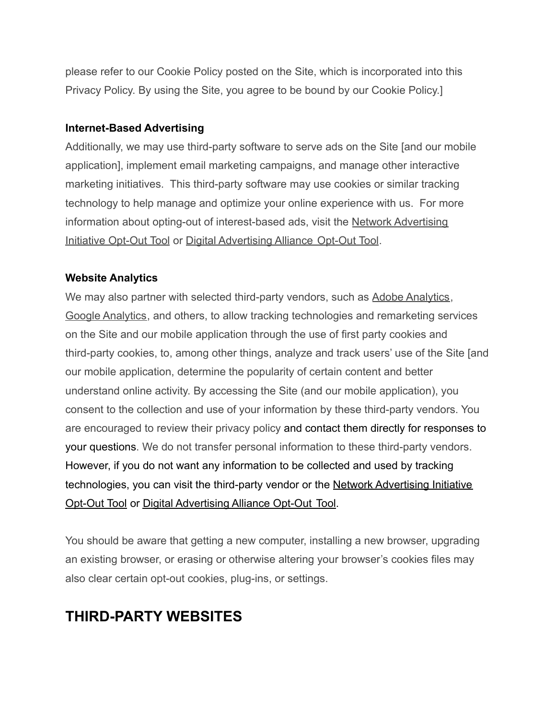please refer to our Cookie Policy posted on the Site, which is incorporated into this Privacy Policy. By using the Site, you agree to be bound by our Cookie Policy.]

## **Internet-Based Advertising**

Additionally, we may use third-party software to serve ads on the Site [and our mobile application], implement email marketing campaigns, and manage other interactive marketing initiatives. This third-party software may use cookies or similar tracking technology to help manage and optimize your online experience with us. For more information about opting-out of interest-based ads, visit the [Network Advertising](http://www.networkadvertising.org/choices/) [Initiative Opt-Out Tool](http://www.networkadvertising.org/choices/) or [Digital Advertising Alliance](http://www.aboutads.info/choices/) Opt-Out Tool.

## **Website Analytics**

We may also partner with selected third-party vendors, such as [Adobe Analytics,](http://www.adobe.com/privacy/marketing-cloud.html) [Google Analytics](https://support.google.com/analytics/answer/6004245?hl=en), and others, to allow tracking technologies and remarketing services on the Site and our mobile application through the use of first party cookies and third-party cookies, to, among other things, analyze and track users' use of the Site [and our mobile application, determine the popularity of certain content and better understand online activity. By accessing the Site (and our mobile application), you consent to the collection and use of your information by these third-party vendors. You are encouraged to review their privacy policy and contact them directly for responses to your questions. We do not transfer personal information to these third-party vendors. However, if you do not want any information to be collected and used by tracking technologies, you can visit the third-party vendor or the [Network Advertising Initiative](http://www.networkadvertising.org/choices/) [Opt-Out Tool](http://www.networkadvertising.org/choices/) or [Digital Advertising Alliance Opt-Out](http://www.aboutads.info/choices/) Tool.

You should be aware that getting a new computer, installing a new browser, upgrading an existing browser, or erasing or otherwise altering your browser's cookies files may also clear certain opt-out cookies, plug-ins, or settings.

# **THIRD-PARTY WEBSITES**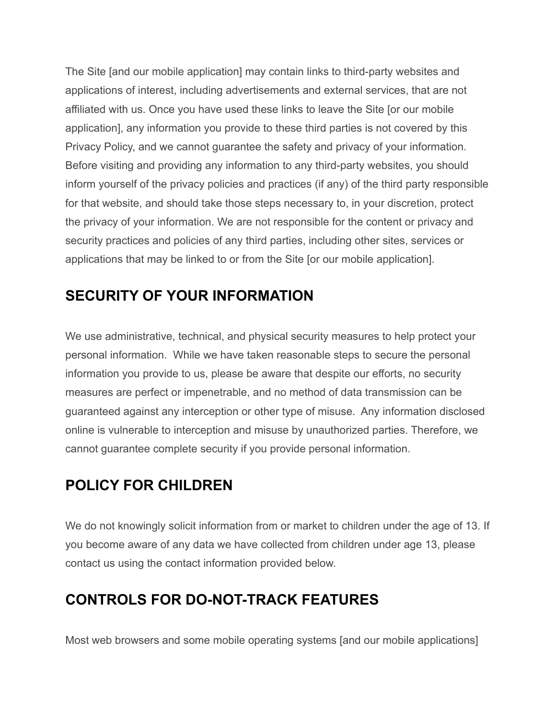The Site [and our mobile application] may contain links to third-party websites and applications of interest, including advertisements and external services, that are not affiliated with us. Once you have used these links to leave the Site [or our mobile application], any information you provide to these third parties is not covered by this Privacy Policy, and we cannot guarantee the safety and privacy of your information. Before visiting and providing any information to any third-party websites, you should inform yourself of the privacy policies and practices (if any) of the third party responsible for that website, and should take those steps necessary to, in your discretion, protect the privacy of your information. We are not responsible for the content or privacy and security practices and policies of any third parties, including other sites, services or applications that may be linked to or from the Site [or our mobile application].

# **SECURITY OF YOUR INFORMATION**

We use administrative, technical, and physical security measures to help protect your personal information. While we have taken reasonable steps to secure the personal information you provide to us, please be aware that despite our efforts, no security measures are perfect or impenetrable, and no method of data transmission can be guaranteed against any interception or other type of misuse. Any information disclosed online is vulnerable to interception and misuse by unauthorized parties. Therefore, we cannot guarantee complete security if you provide personal information.

# **POLICY FOR CHILDREN**

We do not knowingly solicit information from or market to children under the age of 13. If you become aware of any data we have collected from children under age 13, please contact us using the contact information provided below.

# **CONTROLS FOR DO-NOT-TRACK FEATURES**

Most web browsers and some mobile operating systems [and our mobile applications]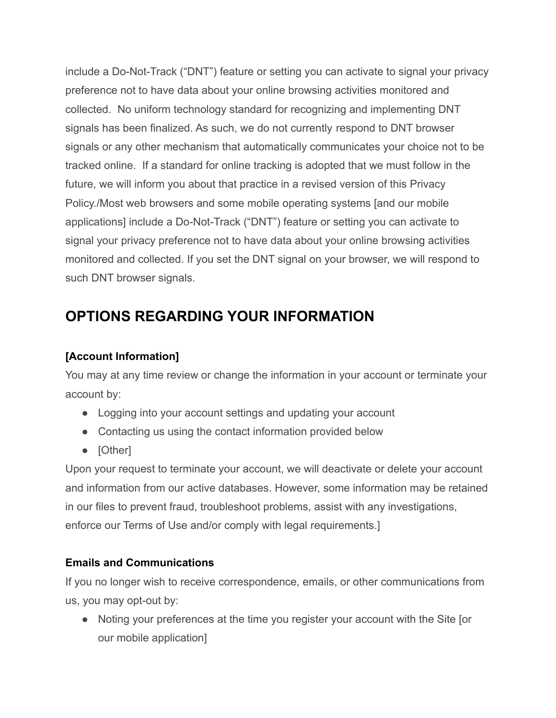include a Do-Not-Track ("DNT") feature or setting you can activate to signal your privacy preference not to have data about your online browsing activities monitored and collected. No uniform technology standard for recognizing and implementing DNT signals has been finalized. As such, we do not currently respond to DNT browser signals or any other mechanism that automatically communicates your choice not to be tracked online. If a standard for online tracking is adopted that we must follow in the future, we will inform you about that practice in a revised version of this Privacy Policy./Most web browsers and some mobile operating systems [and our mobile applications] include a Do-Not-Track ("DNT") feature or setting you can activate to signal your privacy preference not to have data about your online browsing activities monitored and collected. If you set the DNT signal on your browser, we will respond to such DNT browser signals.

# **OPTIONS REGARDING YOUR INFORMATION**

# **[Account Information]**

You may at any time review or change the information in your account or terminate your account by:

- Logging into your account settings and updating your account
- Contacting us using the contact information provided below
- **[Other]**

Upon your request to terminate your account, we will deactivate or delete your account and information from our active databases. However, some information may be retained in our files to prevent fraud, troubleshoot problems, assist with any investigations, enforce our Terms of Use and/or comply with legal requirements.]

# **Emails and Communications**

If you no longer wish to receive correspondence, emails, or other communications from us, you may opt-out by:

● Noting your preferences at the time you register your account with the Site [or our mobile application]